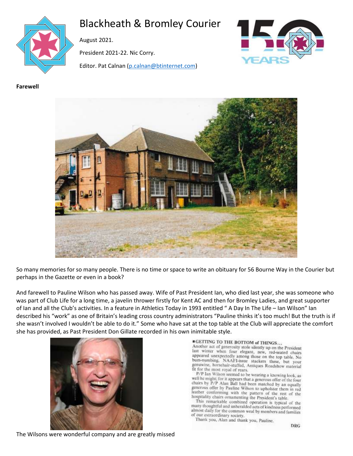

# Blackheath & Bromley Courier

August 2021.

President 2021-22. Nic Corry.

Editor. Pat Calnan [\(p.calnan@btinternet.com\)](mailto:p.calnan@btinternet.com)



**Farewell**



So many memories for so many people. There is no time or space to write an obituary for 56 Bourne Way in the Courier but perhaps in the Gazette or even in a book?

And farewell to Pauline Wilson who has passed away. Wife of Past President Ian, who died last year, she was someone who was part of Club Life for a long time, a javelin thrower firstly for Kent AC and then for Bromley Ladies, and great supporter of Ian and all the Club's activities. In a feature in Athletics Today in 1993 entitled " A Day In The Life – Ian Wilson" Ian described his "work" as one of Britain's leading cross country administrators "Pauline thinks it's too much! But the truth is if she wasn't involved I wouldn't be able to do it." Some who have sat at the top table at the Club will appreciate the comfort she has provided, as Past President Don Gillate recorded in his own inimitable style.



#### **CETTING TO THE BOTTOM of THINGS...**

Another act of generosity stole silently up on the President last winter when four elegant, new, red-seated chairs appeared unexpectedly among those on the top table. No bum-numbing, NAAFI-issue stackers these, but your genuwine, horsehair-stuffed, Antiques Roadshow material fit for the most royal of rears.

P/P Ian Wilson seemed to be wearing a knowing look, as well he might; for it appears that a generous offer of the four<br>chairs by *P/P* Alan Ball had been matched by an equally<br>generous offer by Palan Ball had been matched by an equally generous offer by Pauline Wilson to upholster them in red leather conforming with the pattern of the rest of the hospitality chairs ornamenting the President's table.

This remarkable combined operation is typical of the many thoughtful and unheralded acts of kindness performed almost daily for the common weal by members and families of our extraordinary society.

Thank you, Alan and thank you, Pauline,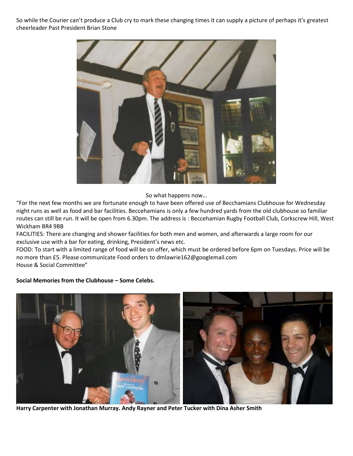So while the Courier can't produce a Club cry to mark these changing times it can supply a picture of perhaps it's greatest cheerleader Past President Brian Stone



So what happens now…

"For the next few months we are fortunate enough to have been offered use of Becchamians Clubhouse for Wednesday night runs as well as food and bar facilities. Beccehamians is only a few hundred yards from the old clubhouse so familiar routes can still be run. It will be open from 6.30pm. The address is : Beccehamian Rugby Football Club, Corkscrew Hill, West Wickham BR4 9BB

FACILITIES: There are changing and shower facilities for both men and women, and afterwards a large room for our exclusive use with a bar for eating, drinking, President's news etc.

FOOD: To start with a limited range of food will be on offer, which must be ordered before 6pm on Tuesdays. Price will be no more than £5. Please communicate Food orders to dmlawrie162@googlemail.com House & Social Committee"

#### **Social Memories from the Clubhouse – Some Celebs.**



**Harry Carpenter with Jonathan Murray. Andy Rayner and Peter Tucker with Dina Asher Smith**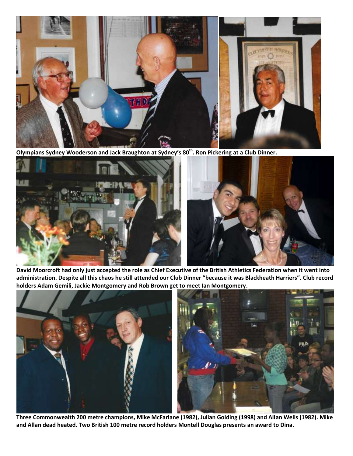

**Olympians Sydney Wooderson and Jack Braughton at Sydney's 80th. Ron Pickering at a Club Dinner.**



**David Moorcroft had only just accepted the role as Chief Executive of the British Athletics Federation when it went into administration. Despite all this chaos he still attended our Club Dinner "because it was Blackheath Harriers". Club record holders Adam Gemili, Jackie Montgomery and Rob Brown get to meet Ian Montgomery.**



**Three Commonwealth 200 metre champions, Mike McFarlane (1982), Julian Golding (1998) and Allan Wells (1982). Mike and Allan dead heated. Two British 100 metre record holders Montell Douglas presents an award to Dina.**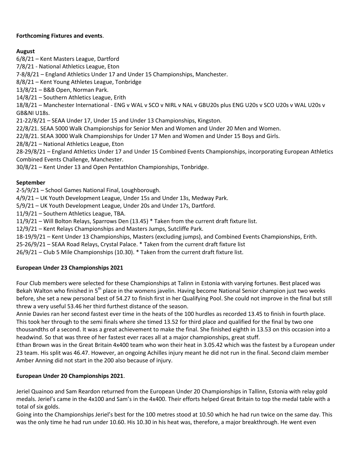### **Forthcoming Fixtures and events**.

# **August**

6/8/21 – Kent Masters League, Dartford 7/8/21 - National Athletics League, Eton 7-8/8/21 – England Athletics Under 17 and Under 15 Championships, Manchester. 8/8/21 – Kent Young Athletes League, Tonbridge 13/8/21 – B&B Open, Norman Park. 14/8/21 – Southern Athletics League, Erith 18/8/21 – Manchester International - ENG v WAL v SCO v NIRL v NAL v GBU20s plus ENG U20s v SCO U20s v WAL U20s v GB&NI U18s. 21-22/8/21 – SEAA Under 17, Under 15 and Under 13 Championships, Kingston. 22/8/21. SEAA 5000 Walk Championships for Senior Men and Women and Under 20 Men and Women. 22/8/21. SEAA 3000 Walk Championships for Under 17 Men and Women and Under 15 Boys and Girls. 28/8/21 – National Athletics League, Eton 28-29/8/21 – England Athletics Under 17 and Under 15 Combined Events Championships, incorporating European Athletics Combined Events Challenge, Manchester. 30/8/21 – Kent Under 13 and Open Pentathlon Championships, Tonbridge. **September**

2-5/9/21 – School Games National Final, Loughborough.

4/9/21 – UK Youth Development League, Under 15s and Under 13s, Medway Park.

5/9/21 – UK Youth Development League, Under 20s and Under 17s, Dartford.

11/9/21 – Southern Athletics League, TBA.

11/9/21 – Will Bolton Relays, Sparrows Den (13.45) \* Taken from the current draft fixture list.

12/9/21 – Kent Relays Championships and Masters Jumps, Sutcliffe Park.

18-19/9/21 – Kent Under 13 Championships, Masters (excluding jumps), and Combined Events Championships, Erith.

25-26/9/21 – SEAA Road Relays, Crystal Palace. \* Taken from the current draft fixture list

26/9/21 – Club 5 Mile Championships (10.30). \* Taken from the current draft fixture list.

### **European Under 23 Championships 2021**

Four Club members were selected for these Championships at Talinn in Estonia with varying fortunes. Best placed was Bekah Walton who finished in 5<sup>th</sup> place in the womens javelin. Having become National Senior champion just two weeks before, she set a new personal best of 54.27 to finish first in her Qualifying Pool. She could not improve in the final but still threw a very useful 53.46 her third furthest distance of the season.

Annie Davies ran her second fastest ever time in the heats of the 100 hurdles as recorded 13.45 to finish in fourth place. This took her through to the semi finals where she timed 13.52 for third place and qualified for the final by two one thousandths of a second. It was a great achievement to make the final. She finished eighth in 13.53 on this occasion into a headwind. So that was three of her fastest ever races all at a major championships, great stuff.

Ethan Brown was in the Great Britain 4x400 team who won their heat in 3.05.42 which was the fastest by a European under 23 team. His split was 46.47. However, an ongoing Achilles injury meant he did not run in the final. Second claim member Amber Anning did not start in the 200 also because of injury.

### **European Under 20 Championships 2021**.

Jeriel Quainoo and Sam Reardon returned from the European Under 20 Championships in Tallinn, Estonia with relay gold medals. Jeriel's came in the 4x100 and Sam's in the 4x400. Their efforts helped Great Britain to top the medal table with a total of six golds.

Going into the Championships Jeriel's best for the 100 metres stood at 10.50 which he had run twice on the same day. This was the only time he had run under 10.60. His 10.30 in his heat was, therefore, a major breakthrough. He went even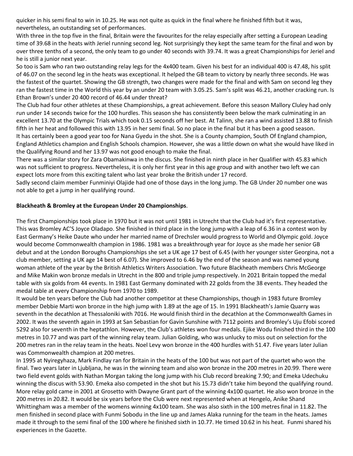quicker in his semi final to win in 10.25. He was not quite as quick in the final where he finished fifth but it was, nevertheless, an outstanding set of performances.

With three in the top five in the final, Britain were the favourites for the relay especially after setting a European Leading time of 39.68 in the heats with Jeriel running second leg. Not surprisingly they kept the same team for the final and won by over three tenths of a second, the only team to go under 40 seconds with 39.74. It was a great Championships for Jeriel and he is still a junior next year.

So too is Sam who ran two outstanding relay legs for the 4x400 team. Given his best for an individual 400 is 47.48, his split of 46.07 on the second leg in the heats was exceptional. It helped the GB team to victory by nearly three seconds. He was the fastest of the quartet. Showing the GB strength, two changes were made for the final and with Sam on second leg they ran the fastest time in the World this year by an under 20 team with 3.05.25. Sam's split was 46.21, another cracking run. Is Ethan Brown's under 20 400 record of 46.44 under threat?

The Club had four other athletes at these Championships, a great achievement. Before this season Mallory Cluley had only run under 14 seconds twice for the 100 hurdles. This season she has consistently been below the mark culminating in an excellent 13.70 at the Olympic Trials which took 0.15 seconds off her best. At Talinn, she ran a wind assisted 13.88 to finish fifth in her heat and followed this with 13.95 in her semi final. So no place in the final but it has been a good season. It has certainly been a good year too for Nana Gyedu in the shot. She is a County champion, South Of England champion, England Athletics champion and English Schools champion. However, she was a little down on what she would have liked in the Qualifying Round and her 13.97 was not good enough to make the final.

There was a similar story for Zara Obamakinwa in the discus. She finished in ninth place in her Qualifier with 45.83 which was not sufficient to progress. Nevertheless, it is only her first year in this age group and with another two left we can expect lots more from this exciting talent who last year broke the British under 17 record.

Sadly second claim member Funminiyi Olajide had one of those days in the long jump. The GB Under 20 number one was not able to get a jump in her qualifying round.

#### **Blackheath & Bromley at the European Under 20 Championships**.

The first Championships took place in 1970 but it was not until 1981 in Utrecht that the Club had it's first representative. This was Bromley AC'S Joyce Oladapo. She finished in third place in the long jump with a leap of 6.36 in a contest won by East Germany's Heike Daute who under her married name of Drechsler would progress to World and Olympic gold. Joyce would become Commonwealth champion in 1986. 1981 was a breakthrough year for Joyce as she made her senior GB debut and at the London Boroughs Championships she set a UK age 17 best of 6.45 (with her younger sister Georgina, not a club member, setting a UK age 14 best of 6.07). She improved to 6.46 by the end of the season and was named young woman athlete of the year by the British Athletics Writers Association. Two future Blackheath members Chris McGeorge and Mike Makin won bronze medals in Utrecht in the 800 and triple jump respectively. In 2021 Britain topped the medal table with six golds from 44 events. In 1981 East Germany dominated with 22 golds from the 38 events. They headed the medal table at every Championship from 1970 to 1989.

It would be ten years before the Club had another competitor at these Championships, though in 1983 future Bromley member Debbie Marti won bronze in the high jump with 1.89 at the age of 15. In 1991 Blackheath's Jamie Quarry was seventh in the decathlon at Thessaloniki with 7016. He would finish third in the decathlon at the Commonwealth Games in 2002. It was the seventh again in 1993 at San Sebastian for Gavin Sunshine with 7112 points and Bromley's Uju Efobi scored 5292 also for seventh in the heptathlon. However, the Club's athletes won four medals. Ejike Wodu finished third in the 100 metres in 10.77 and was part of the winning relay team. Julian Golding, who was unlucky to miss out on selection for the 200 metres ran in the relay team in the heats. Noel Levy won bronze in the 400 hurdles with 51.47. Five years later Julian was Commonwealth champion at 200 metres.

In 1995 at Nyiregyhaza, Mark Findlay ran for Britain in the heats of the 100 but was not part of the quartet who won the final. Two years later in Ljubljana, he was in the winning team and also won bronze in the 200 metres in 20.99. There were two field event golds with Nathan Morgan taking the long jump with his Club record breaking 7.90; and Emeka Udechuku winning the discus with 53.90. Emeka also competed in the shot but his 15.73 didn't take him beyond the qualifying round. More relay gold came in 2001 at Grosetto with Dwayne Grant part of the winning 4x100 quartet. He also won bronze in the 200 metres in 20.82. It would be six years before the Club were next represented when at Hengelo, Anike Shand Whittingham was a member of the womens winning 4x100 team. She was also sixth in the 100 metres final in 11.82. The men finished in second place with Funmi Sobodu in the line up and James Alaka running for the team in the heats. James made it through to the semi final of the 100 where he finished sixth in 10.77. He timed 10.62 in his heat. Funmi shared his experiences in the Gazette.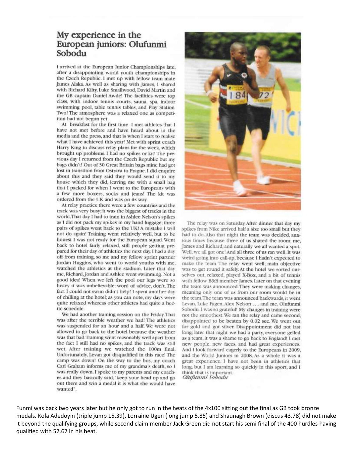# My experience in the European juniors: Olufunmi Sobodu

I arrived at the European Junior Championships late. after a disappointing world youth championships in the Czech Republic. I met up with fellow team mate James Alaka. As well as sharing with James, I shared with Richard Kilty, Luke Smallwood, David Martin and the GB captain Daniel Awde! The facilities were top class, with indoor tennis courts, sauna, spa, indoor swimming pool, table tennis tables, and Play Station Two! The atmosphere was a relaxed one as competition had not begun vet.

At breakfast for the first time I met athletes that I have not met before and have heard about in the media and the press, and that is when I start to realise what I have achieved this year! Met with sprint coach Harry King to discuss relay plans for the week, which brought up problems. I had no spikes or kit! The previous day I returned from the Czech Republic but my bags didn't! Out of 30 Great Britain bags mine had got lost in transition from Ostrava to Prague. I did enquire about this and they said they would send it to my house which they did, leaving me with a small bag that I packed for when I went to the Europeans with a few more boxers, socks and jeans! The kit was ordered from the UK and was on its way.

At relay practice there were a few countries and the track was very busy; it was the biggest of tracks in the world. That day I had to train in Ashlee Nelson's spikes as I did not pack my spikes in my hand luggage; three pairs of spikes went back to the UK! A mistake I will not do again! Training went relatively well, but to be honest I was not ready for the European squad. Went back to hotel fairly relaxed, still people getting prepared for their day of athletics the next day. I had a day off from training, so me and my fellow sprint partner Jordan Huggins, who went to world youths with me, watched the athletics at the stadium. Later that day me, Richard, Jordan and Ashlee went swimming. Not a good idea! When we left the pool our legs were so heavy it was unbelievable; word of advice, don't. The fact I could not swim didn't help! I spent another day of chilling at the hotel; as you can note, my days were quite relaxed whereas other athletes had quite a hectic schedule.

We had another training session on the Friday. That was after the terrible weather we had! The athletics was suspended for an hour and a half. We were not allowed to go back to the hotel because the weather was that bad. Training went reasonably well apart from the fact I still had no spikes, and the track was still wet. After training we watched the 100m final. Unfortunately, Levan got disqualified in this race! The camp was down! On the way to the bus, my coach Carl Graham informs me of my grandma's death, so I was really down. I spoke to my parents and my coaches and they basically said, "keep your head up and go out there and win a medal it is what she would have wanted".



The relay was on Saturday. After dinner that day my spikes from Nike arrived half a size too small but they had to do. Also that night the team was decided, anxious times because three of us shared the room; me, James and Richard, and naturally we all wanted a spot. Well, we all got one! And all three of us ran well. It was weird going into call-up, because I hadn't expected to make the team. The relay went well; main objective was to get round it safely. At the hotel we sorted ourselves out, relaxed, played X-Box, and a bit of tennis with fellow B&B member James. Later on that evening the team was announced. They were making changes, meaning only one of us from our room would be in the team. The team was announced backwards, it went Levan, Luke Fagen, Alex Nelson .... and me, Olufunmi Sobodu. I was so grateful! My changes in training were not the smoothest. We ran the relay and came second, disappointed to be beaten by 0.02 sec. We went out for gold and got silver. Disappointment did not last long; later that night we had a party, everyone gelled as a team, it was a shame to go back to England! I met new people, new faces, and had great experiences. And I look forward eagerly to the Europeans in 2009, and the World Juniors in 2008. As a whole it was a great experience. I have not been in athletics that long, but I am learning so quickly in this sport, and I think that is important. Olufunmi Sobodu

Funmi was back two years later but he only got to run in the heats of the 4x100 sitting out the final as GB took bronze medals. Kola Adedoyin (triple jump 15.39), Lorraine Ugen (long jump 5.85) and Shaunagh Brown (discus 43.78) did not make it beyond the qualifying groups, while second claim member Jack Green did not start his semi final of the 400 hurdles having qualified with 52.67 in his heat.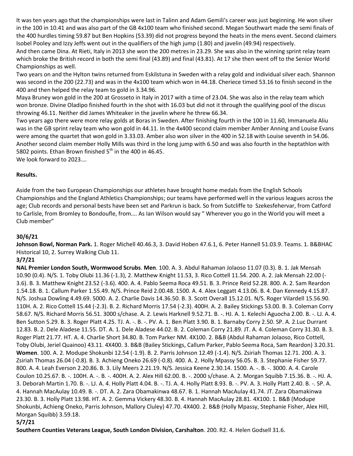It was ten years ago that the championships were last in Talinn and Adam Gemili's career was just beginning. He won silver in the 100 in 10.41 and was also part of the GB 4x100 team who finished second. Megan Southwart made the semi finals of the 400 hurdles timing 59.87 but Ben Hopkins (53.39) did not progress beyond the heats in the mens event. Second claimers Isobel Pooley and Izzy Jeffs went out in the qualifiers of the high jump (1.80) and javelin (49.94) respectively.

And then came Dina. At Rieti, Italy in 2013 she won the 200 metres in 23.29. She was also in the winning sprint relay team which broke the British record in both the semi final (43.89) and final (43.81). At 17 she then went off to the Senior World Championships as well.

Two years on and the Hylton twins returned from Eskilstuna in Sweden with a relay gold and individual silver each. Shannon was second in the 200 (22.73) and was in the 4x100 team which won in 44.18. Cheriece timed 53.16 to finish second in the 400 and then helped the relay team to gold in 3.34.96.

Maya Bruney won gold in the 200 at Grosseto in Italy in 2017 with a time of 23.04. She was also in the relay team which won bronze. Divine Oladipo finished fourth in the shot with 16.03 but did not it through the qualifying pool of the discus throwing 46.11. Neither did James Whiteaker in the javelin where he threw 66.34.

Two years ago there were more relay golds at Boras in Sweden. After finishing fourth in the 100 in 11.60, Immanuela Aliu was in the GB sprint relay team who won gold in 44.11. In the 4x400 second claim member Amber Anning and Louise Evans were among the quartet that won gold in 3.33.03. Amber also won silver in the 400 in 52.18 with Louise seventh in 54.06. Another second claim member Holly Mills was third in the long jump with 6.50 and was also fourth in the heptathlon with 5802 points. Ethan Brown finished  $5<sup>th</sup>$  in the 400 in 46.45.

We look forward to 2023….

#### **Results.**

Aside from the two European Championships our athletes have brought home medals from the English Schools Championships and the England Athletics Championships; our teams have performed well in the various leagues across the age; Club records and personal bests have been set and Parkrun is back. So from Sutcliffe to Szekesfehervar, from Catford to Carlisle, from Bromley to Bondoufle, from…. As Ian Wilson would say " Wherever you go in the World you will meet a Club member"

### **30/6/21**

**Johnson Bowl, Norman Park.** 1. Roger Michell 40.46.3, 3. David Hoben 47.6.1, 6. Peter Hannell 51.03.9. Teams. 1. B&BHAC Historical 10, 2. Surrey Walking Club 11.

### **3/7/21**

**NAL Premier London South, Wormwood Scrubs**. **Men**. 100. A. 3. Abdul Rahaman Jolaoso 11.07 (0.3). B. 1. Jak Mensah 10.90 (0.4). N/S. 1. Toby Olubi 11.36 (-1.3), 2. Matthew Knight 11.53, 3. Rico Cottell 11.54. 200. A. 2. Jak Mensah 22.00 (- 3.6). B. 3. Matthew Knight 23.52 (-3.6). 400. A. 4. Pablo Seema Roca 49.51. B. 3. Prince Reid 52.28. 800. A. 2. Sam Reardon 1.54.18. B. 1. Callum Parker 1.55.49. N/S. Prince Reid 2.00.48. 1500. A. 4. Alex Leggatt 4.13.06. B. 4. Dan Kennedy 4.15.87. N/S. Joshua Dowling 4.49.69. 5000. A. 2. Charlie Davis 14.36.50. B. 3. Scott Overall 15.12.01. N/S. Roger Vilardell 15.56.90. 110H. A. 2. Rico Cottell 15.44 (-2.3). B. 2. Richard Morris 17.54 (-2.3). 400H. A. 2. Bailey Stickings 53.00. B. 3. Coleman Corry 58.67. N/S. Richard Morris 56.51. 3000 s/chase. A. 2. Lewis Harknell 9.52.71. B. -. HJ. A. 1. Kelechi Aguocha 2.00. B. -. LJ. A. 4. Ben Sutton 5.29. B. 3. Roger Platt 4.25. TJ. A. -. B. -. PV. A. 1. Ben Platt 3.90. B. 1. Barnaby Corry 2.50. SP. A. 2.Luc Durrant 12.83. B. 2. Dele Aladese 11.55. DT. A. 1. Dele Aladese 44.02. B. 2. Coleman Corry 21.89. JT. A. 4. Coleman Corry 31.30. B. 3. Roger Platt 21.77. HT. A. 4. Charlie Short 34.80. B. Tom Parker NM. 4X100. 2. B&B (Abdul Rahaman Jolaoso, Rico Cottell, Toby Olubi, Jeriel Quainoo) 43.11. 4X400. 3. B&B (Bailey Stickings, Callum Parker, Pablo Seema Roca, Sam Reardon) 3.20.31. **Women**. 100. A. 2. Modupe Shokunbi 12.54 (-1.9). B. 2. Parris Johnson 12.49 (-1.4). N/S. Zsiriah Thomas 12.71. 200. A. 3. Zsiriah Thomas 26.04 (-0.8). B. 3. Achieng Oneko 26.69 (-0.8). 400. A. 2. Holly Mpassy 56.05. B. 3. Stephanie Fisher 59.77. 800. A. 4. Leah Everson 2.20.86. B. 3. Lily Meers 2.21.19. N/S. Jessica Keene 2.30.14. 1500. A. -. B. -. 3000. A. 4. Carole Coulon 10.25.67. B. -. 100H. A. -. B. -. 400H. A. 2. Alex Hill 62.00. B. -. 2000 s/chase. A. 2. Morgan Squibb 7.15.36. B. -. HJ. A. 3. Deborah Martin 1.70. B. -. LJ. A. 4. Holly Platt 4.04. B. -. TJ. A. 4. Holly Platt 8.93. B. -. PV. A. 3. Holly Platt 2.40. B. -. SP. A. 4. Hannah MacAulay 10.49. B. -. DT. A. 2. Zara Obamakinwa 48.67. B. 1. Hannah MacAulay 41.74. JT. Zara Obamakinwa 23.30. B. 3. Holly Platt 13.98. HT. A. 2. Gemma Vickery 48.30. B. 4. Hannah MacAulay 28.81. 4X100. 1. B&B (Modupe Shokunbi, Achieng Oneko, Parris Johnson, Mallory Cluley) 47.70. 4X400. 2. B&B (Holly Mpassy, Stephanie Fisher, Alex Hill, Morgan Squibb) 3.59.18.

### **5/7/21**

**Southern Counties Veterans League, South London Division, Carshalton**. 200. R2. 4. Helen Godsell 31.6.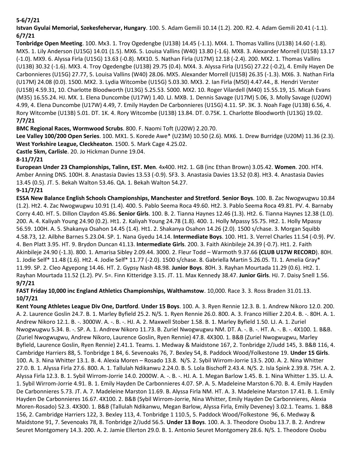# **5-6/7/21**

**Istvan Gyulai Memorial, Szekesfehervar, Hungary**. 100. 5. Adam Gemili 10.14 (1.2). 200. R2. 4. Adam Gemili 20.41 (-1.1). **6/7/21**

**Tonbridge Open Meeting**. 100. Mx3. 1. Troy Ogedengbe (U13B) 14.45 (-1.1). MX4. 1. Thomas Vallins (U13B) 14.60 (-1.8). MX5. 1. Lily Anderson (U15G) 14.01 (1.5). MX6. 5. Louisa Vallins (W40) 13.80 (-1.6). MX8. 3. Alexander Morrell (U15B) 13.17 (-1.0). MX9. 6. Alyssa Firla (U15G) 13.63 (-0.8). MX10. 5. Nathan Firla (U17M) 12.18 (-2.4). 200. MX2. 1. Thomas Vallins (U13B) 30.32 (-1.6). MX3. 4. Troy Ogedengbe (U13B) 29.75 (0.4). MX4. 3. Alyssa Firla (U15G) 27.22 (-0.2), 4. Emily Hayen De Carbonnieres (U15G) 27.77, 5. Louisa Vallins (W40) 28.06. MX5. Alexander Morrell (U15B) 26.35 (-1.3). MX6. 3. Nathan Firla (U17M) 24.08 (0.0). 1500. MX2. 3. Lydia Witcombe (U15G) 5.03.30. MX3. 2. Ian Firla (M50) 4.47.44., 8. Hendri Verster (U15B) 4.59.31, 10. Charlotte Bloodworth (U13G) 5.25.53. 5000. MX2. 10. Roger Vilardell (M40) 15.55.19, 15. Micah Evans (M35) 16.55.24. HJ. MX. 1. Elena Duncombe (U17W) 1.40. LJ. MXB. 1. Dennis Savage (U17M) 5.06, 3. Molly Savage (U20W) 4.99, 4. Elena Duncombe (U17W) 4.49, 7. Emily Hayden De Carbonnieres (U15G) 4.11. SP. 3K. 3. Noah Fage (U13B) 6.56, 4. Rory Witcombe (U13B) 5.01. DT. 1K. 4. Rory Witcombe (U13B) 13.84. DT. 0.75K. 1. Charlotte Bloodworth (U13G) 19.02. **7/7/21**

**BMC Regional Races, Wormwood Scrubs**. 800. F. Naomi Toft (U20W) 2.20.70.

**Lee Valley 100/200 Open Series**. 100. MX1. 5. Korede Awe\* (U23M) 10.50 (2.6). MX6. 1. Drew Burridge (U20M) 11.36 (2.3). **West Yorkshire League, Cleckheaton**. 1500. 5. Mark Cage 4.25.02.

**Castle 5km, Carlisle**. 20. Jo Hickman Dunne 19.04.

# **8-11/7/21**

**European Under 23 Championships, Talinn, EST. Men**. 4x400. Ht2. 1. GB (inc Ethan Brown) 3.05.42. **Women**. 200. HT4. Amber Anning DNS. 100H. 8. Anastasia Davies 13.53 (-0.9). SF3. 3. Anastasia Davies 13.52 (0.8). Ht3. 4. Anastasia Davies 13.45 (0.5). JT. 5. Bekah Walton 53.46. QA. 1. Bekah Walton 54.27.

# **9-11/7/21**

**ESSA New Balance English Schools Championships, Manchester and Stretford**. **Senior Boys**. 100. B. Zac Nwogwugwu 10.84 (1.2). Ht2. 4. Zac Nwogwugwu 10.91 (1.4). 400. 5. Pablo Seema Roca 49.60. Ht2. 3. Pablo Seema Roca 49.81. PV. 4. Barnaby Corry 4.40. HT. 5. Dillon Claydon 45.86. **Senior Girls**. 100. B. 2. Tianna Haynes 12.46 (1.3). Ht2. 6. Tianna Haynes 12.38 (1.0). 200. A. 4. Kaliyah Young 24.90 (0.2). Ht1. 2. Kaliyah Young 24.78 (1.8). 400. 1. Holly Mpassy 55.75. Ht2. 1. Holly Mpassy 56.59. 100H. A. 5. Shakanya Osahon 14.45 (1.4). Ht1. 2. Shakanya Osahon 14.26 (2.0). 1500 s/chase. 3. Morgan Squibb 4.58.73, 12. Ailbhe Barnes 5.23.04. SP. 1. Nana Gyedu 14.14. **Intermediate Boys**. 100. Ht1. 3. Verrel Charles 11.54 (-0.9). PV. 4. Ben Platt 3.95. HT. 9. Brydon Duncan 41.13. **Intermediate Girls**. 200. 3. Faith Akinbileje 24.39 (-0.7). Ht1. 2. Faith Akinbileje 24.90 (-1.3). 800. 1. Amarisa Sibley 2.09.44. 3000. 2. Fleur Todd – Warmoth 9.37.66 **(CLUB U17W RECORD**). 80H. 1. Jodie Self\* 11.48 (1.6). Ht2. 4. Jodie Self\* 11.77 (-2.0). 1500 s/chase. 8. Gabriella Martin 5.26.05. TJ. 1. Amelia Gray\* 11.99. SP. 2. Cleo Agyepong 14.46. HT. 2. Gypsy Nash 48.98. **Junior Boys**. 80H. 3. Rayhan Mourtada 11.29 (0.6). Ht2. 1. Rayhan Mourtada 11.52 (1.2). PV. 5=. Finn Kitteridge 3.15. JT. 11. Max Kennedy 38.47. **Junior Girls**. HJ. 7. Daisy Snell 1.56. **9/7/21**

# **FAST Friday 10,000 inc England Athletics Championships, Walthamstow**. 10,000. Race 3. 3. Ross Braden 31.01.13. **10/7/21**

**Kent Young Athletes League Div One, Dartford**. **Under 15 Boys**. 100. A. 3. Ryen Rennie 12.3. B. 1. Andrew Nikoro 12.0. 200. A. 2. Laurence Goslin 24.7. B. 1. Marley Byfield 25.2. N/S. 1. Ryen Rennie 26.0. 800. A. 3. Franco Hillier 2.20.4. B. -. 80H. A. 1. Andrew Nikoro 12.1. B. -. 3000W. A. -. B. -. HJ. A. 2. Maxwell Stober 1.58. B. 1. Marley Byfield 1.50. LJ. A. 1. Zuriel Nwogwugwu 5.34. B. -. SP. A. 1. Andrew Nikoro 11.73. B. Zuriel Nwogwugwu NM. DT. A. -. B. -. HT. A. -. B. -. 4X100. 1. B&B. (Zuriel Nwogwugwu, Andrew Nikoro, Laurence Goslin, Ryen Rennie) 47.8. 4X300. 1. B&B (Zuriel Nwogwugwu, Marley Byfield, Laurence Goslin, Ryen Rennie) 2.41.1. Teams. 1. Medway & Maidstone 167, 2. Tonbridge 2/Judd 145, 3. B&B 116, 4. Cambridge Harriers 88, 5. Tonbridge 1 84, 6. Sevenoaks 76, 7. Bexley 54, 8. Paddock Wood/Folkestone 19. **Under 15 Girls**. 100. A. 3. Nina Whitter 13.1. B. 4. Alexia Moren – Rosado 13.8. N/S. 2. Sybil Wirrom-Jorrie 13.5. 200. A. 2. Nina Whitter 27.0. B. 1. Alyssa Firla 27.6. 800. A. 1. Tallulah Ndikanwu 2.24.0. B. 5. Lola Bischoff 2.43.4. N/S. 2. Isla Spink 2.39.8. 75H. A. 2. Alyssa Firla 12.3. B. 1. Sybil Wirrom-Jorrie 14.0. 2000W. A. -. B. -. HJ. A. 1. Megan Barlow 1.45. B. 1. Nina Whitter 1.35. LJ. A. 1. Sybil Wirrom-Jorrie 4.91. B. 1. Emily Hayden De Carbonnieres 4.07. SP. A. 5. Madeleine Marston 6.70. B. 4. Emily Hayden De Carbonnieres 5.73. JT. A. 7. Madeleine Marston 11.69. B. Alyssa Firla NM. HT. A. 3. Madeleine Marston 17.41. B. 1. Emily Hayden De Carbonnieres 16.67. 4X100. 2. B&B (Sybil Wirrom-Jorrie, Nina Whitter, Emily Hayden De Carbonnieres, Alexia Moren-Rosado) 52.3. 4X300. 1. B&B (Tallulah Ndikanwu, Megan Barlow, Alyssa Firla, Emily Deveney) 3.02.1. Teams. 1. B&B 156, 2. Cambridge Harriers 122, 3. Bexley 113, 4. Tonbridge 1 110.5, 5. Paddock Wood/Folkestone 96, 6. Medway & Maidstone 91, 7. Sevenoaks 78, 8. Tonbridge 2/Judd 56.5. **Under 13 Boys**. 100. A. 3. Theodore Osobu 13.7. B. 2. Andrew Seuret Montgomery 14.3. 200. A. 2. Jamie Ellerton 29.0. B. 1. Antonio Seuret Montgomery 28.6. N/S. 1. Theodore Osobu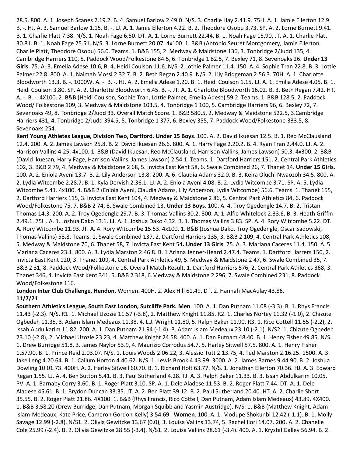28.5. 800. A. 1. Joseph Scanes 2.19.2. B. 4. Samuel Barlow 2.49.0. N/S. 3. Charlie Hay 2.41.9. 75H. A. 1. Jamie Ellerton 12.9. B. -. HJ. A. 3. Samuel Barlow 1.15. B. -. LJ. A. 1. Jamie Ellerton 4.22. B. 2. Theodore Osobu 3.73. SP. A. 2. Lorne Burnett 9.41. B. 1. Charlie Platt 7.38. N/S. 1. Noah Fage 6.50. DT. A. 1. Lorne Burnett 22.44. B. 1. Noah Fage 15.90. JT. A. 1. Charlie Platt 30.81. B. 1. Noah Fage 25.51. N/S. 3. Lorne Burnett 20.07. 4x100. 1. B&B (Antonio Seuret Montgomery, Jamie Ellerton, Charlie Platt, Theodore Osobu) 56.0. Teams. 1. B&B 155, 2. Medway & Maidstone 136, 3. Tonbridge 2/Judd 135, 4. Cambridge Harriers 110, 5. Paddock Wood/Folkestone 84.5, 6. Tonbridge 1 82.5, 7. Bexley 71, 8. Sevenoaks 26. **Under 13 Girls**. 75. A. 3. Emelia Adese 10.6, B. 4. Heidi Coulson 11.6. N/S. 2.Lothie Palmer 11.4. 150. A. 4. Sophie Tran 22.8. B. 3. Lottie Palmer 22.8. 800. A. 1. Naimah Mossi 2.32.7. B. 2. Beth Regan 2.40.9. N/S. 2. Lily Bridgeman 2.56.3. 70H. A. 1. Charlotte Bloodworth 13.3. B. -. 1000W. A. -. B. -. HJ. A. 2. Emelia Adese 1.20. B. 1. Heidi Coulson 1.15. LJ. A. 1. Emilia Adese 4.05. B. 1. Heidi Coulson 3.80. SP. A. 2. Charlotte Bloodworth 6.45. B. -. JT. A. 1. Charlotte Bloodworth 16.02. B. 3. Beth Regan 7.42. HT. A. -. B. -. 4X100. 2. B&B (Heidi Coulson, Sophie Tran, Lottie Palmer, Emelia Adese) 59.2. Teams. 1. B&B 128.5, 2. Paddock Wood/ Folkestone 109, 3. Medway & Maidstone 103.5, 4. Tonbridge 1 100, 5. Cambridge Harriers 96, 6. Bexley 72, 7. Sevenoaks 49, 8. Tonbridge 2/Judd 33. Overall Match Score. 1. B&B 580.5, 2. Medway & Maidstone 522.5, 3.Cambridge Harriers 431, 4. Tonbridge 2/Judd 394.5, 5. Tonbridge 1 377, 6. Bexley 355, 7. Paddock Wood/Folkestone 333.5, 8. Sevenoaks 254.

**Kent Young Athletes League, Division Two, Dartford**. **Under 15 Boys**. 100. A. 2. David Ikuesan 12.5. B. 1. Reo McClausland 12.4. 200. A. 2. James Lawson 25.8. B. 2. David Ikuesan 26.6. 800. A. 1. Harry Fage 2.20.2. B. 4. Ryan Tran 2.44.0. LJ. A. 2. Harrison Vallins 4.25. 4x100. 1. B&B (David Ikuesan, Reo McClausland, Harrison Vallins, James Lawson) 50.3. 4x300. 2. B&B (David Ikuesan, Harry Fage, Harrison Vallins, James Lawson) 2.54.1. Teams. 1. Dartford Harriers 151, 2. Central Park Athletics 102, 3. B&B 2 79, 4. Medway & Maidstone 2 68, 5. Invicta East Kent 58, 6. Swale Combined 26, 7. Thanet 14. **Under 15 Girls**. 100. A. 2. Eniola Ayeni 13.7. B. 2. Lily Anderson 13.8. 200. A. 6. Claudia Adams 32.0. B. 3. Keira Oluchi Nwaozoh 34.5. 800. A. 2. Lydia Witcombe 2.28.7. B. 1. Kyla Dervish 2.36.1. LJ. A. 2. Eniola Ayeni 4.08. B. 2. Lydia Witcombe 3.71. SP. A. 5. Lydia Witcombe 5.41. 4x100. 4. B&B 2 (Eniola Ayeni, Claudia Adams, Lily Anderson, Lydia Witcombe) 56.6. Teams. 1. Thanet 155, 2. Dartford Harriers 115, 3. Invicta East Kent 104, 4. Medway & Maidstone 2 86, 5. Central Park Athletics 84, 6. Paddock Wood/Folkestone 75, 7. B&B 2 74, 8. Swale Combined 13. **Under 13 Boys**. 100. A. 4. Troy Ogedengle 14.7. B. 2. Tristan Thomas 14.3. 200. A. 2. Troy Ogedengle 29.7. B. 3. Thomas Vallins 30.2. 800. A. 1. Alfie Whitelock 2.33.6. B. 3. Heath Griffin 2.49.1. 75H. A. 1. Joshua Dako 13.1. LJ. A. 1. Joshua Dako 4.32. B. 1. Thomas Vallins 3.83. SP. A. 4. Rory Witcombe 5.22. DT. A. Rory Witcombe 11.93. JT. A. 4. Rory Witcombe 15.53. 4x100. 1. B&B (Joshua Dako, Troy Ogedengle, Oscar Sadowski, Thomas Vallins) 58.8. Teams. 1. Swale Combined 137, 2. Dartford Harriers 135, 3. B&B 2 109, 4. Central Park Athletics 108, 5. Medway & Maidstone 70, 6. Thanet 58, 7. Invicta East Kent 54**. Under 13 Girls**. 75. A. 3. Mariana Caceres 11.4. 150. A. 5. Mariana Caceres 23.1. 800. A. 3. Lydia Marston 2.46.8. B. 1 Ariana Jenner-Heard 2.47.4. Teams. 1. Dartford Harrers 150, 2. Invicta East Kent 120, 3. Thanet 109, 4. Central Park Athletics 49, 5. Medway & Maidstone 2 47, 6. Swale Combined 35, 7. B&B 2 31, 8. Paddock Wood/Folkestone 16. Overall Match Result. 1. Dartford Harriers 576, 2. Central Park Athletics 368, 3. Thanet 346, 4. Invicta East Kent 341, 5. B&B 2 318, 6.Medway & Maidstone 2 296, 7. Swale Combined 231, 8. Paddock Wood/Folkestone 116.

### **London Inter Club Challenge, Hendon.** Women. 400H. 2. Alex Hill 61.49. DT. 2. Hannah MacAulay 43.86. **11/7/21**

**Southern Athletics League, South East London, Sutcliffe Park. Men**. 100. A. 1. Dan Putnam 11.08 (-3.3). B. 1. Rhys Francis 11.43 (-2.3). N/S. R1. 1. Michael Uzozie 11.57 (-3.8), 2. Matthew Knight 11.85. R2. 1. Charles Nortey 11.32 (-1.0), 2. Chizute Ogbedeh 11.35, 3. Adam Islam Medeaux 11.38, 4. L.J. Wright 11.80, 5. Ralph Baker 11.90. R3. 1. Rico Cottell 11.55 (-2.2), 2. Issah Abdulkarim 11.82. 200. A. 1. Dan Putnam 21.94 (-1.4). B. Adam Islam Medeaux 23.10 (-2.1). N/S2. 1. Chizute Ogbedeh 23.10 (-2.8), 2. Michael Uzozie 23.23, 4. Matthew Knight 24.58. 400. A. 1. Dan Putnam 48.40. B. 1. Henry Fisher 49.85. N/S. 1. Drew Burridge 51.8, 3. James Naylor 53.9, 4. Maurizio Corrodus 54.7, 5. Harley Sitwell 57.5. 800. A. 1. Henry Fisher 1.57.90. B. 1. Prince Reid 2.03.07. N/S. 1. Louis Woods 2.06.22, 3. Alessio Tutt 2.13.75, 4. Ted Marston 2.16.25. 1500. A. 3. Jake Leng 4.20.64. B. 1. Callum Horton 4.40.62. N/S. 1. Lewis Brook 4.43.99. 3000. A. 2. James Barnes 9.44.90. B. 2. Joshua Dowling 10.01.73. 400H. A. 2. Harley Sitwell 60.70. B. 1. Richard Holt 63.77. N/S. 1. Jonathan Ellerton 70.36. HJ. A. 3. Edward Regan 1.55. LJ. A. 4. Ben Sutton 5.41. B. 3. Paul Sutherland 4.28. TJ. A. 3. Ralph Baker 11.33. B. 3. Issah Abdulkarim 10.05. PV. A. 1. Barnaby Corry 3.60. B. 1. Roger Platt 3.10. SP. A. 1. Dele Aladese 11.53. B. 2. Roger Platt 7.44. DT. A. 1. Dele Aladese 45.61. B. 1. Brydon Duncan 33.35. JT. A. 2. Ben Platt 39.12. B. 2. Paul Sutherland 20.40. HT. A. 2. Charlie Short 35.55. B. 2. Roger Platt 21.86. 4X100. 1. B&B (Rhys Francis, Rico Cottell, Dan Putnam, Adam Islam Medeaux) 43.89. 4X400. 1. B&B 3.58.20 (Drew Burridge, Dan Putnam, Morgan Squibb and Yasmin Austridge). N/S. 1. B&B (Matthew Knight, Adam Islam-Medeaux, Kate Price, Cameron Gordon-Kelly) 3.54.69. **Women**. 100. A. 1. Modupe Shokunbi 12.42 (-1.1). B. 1. Molly Savage 12.99 (-2.8). N/S1. 2. Olivia Gewitzke 13.67 (0.0), 3. Louisa Vallins 13.74, 5. Rachel Ilori 14.07. 200. A. 2. Chanelle Cole 25.99 (-2.4). B. 2. Olivia Gewitzke 28.55 (-3.4). N/S1. 2. Louisa Vallins 28.61 (-3.4). 400. A. 1. Krystal Galley 56.94. B. 2.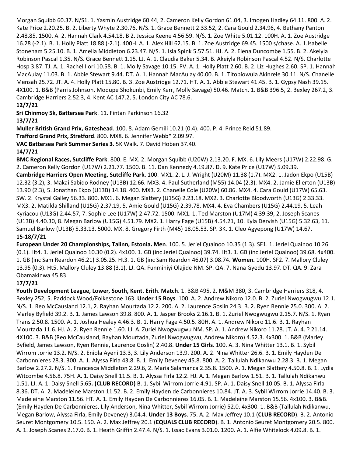Morgan Squibb 60.37. N/S1. 1. Yasmin Austridge 60.44, 2. Cameron Kelly Gordon 61.04, 3. Imogen Hadley 64.11. 800. A. 2. Kate Price 2.20.25. B. 2. Liberty Whyte 2.30.76. N/S. 1. Grace Bennett 2.33.52, 2. Cara Gould 2.34.96, 4. Bethany Panton 2.48.85. 1500. A. 2. Hannah Clark 4.54.18. B 2. Jessica Keene 4.56.59. N/S. 1. Zoe White 5.01.12. 100H. A. 1. Zoe Austridge 16.28 (-2.1). B. 1. Holly Platt 18.88 (-2.1). 400H. A. 1. Alex Hill 62.15. B. 1. Zoe Austridge 69.45. 1500 s/chase. A. 1.Isabelle Stoneham 5.25.10. B. 1. Amelia Middleton 6.23.47. N/S. 1. Isla Spink 5.57.51. HJ. A. 2. Elena Duncombe 1.55. B. 2. Akeiyla Robinson Pascal 1.35. N/S. Grace Bennett 1.15. LJ. A. 1. Claudia Baker 5.34. B. Akeiyla Robinson Pascal 4.52. N/S. Charlotte Hosp 3.87. TJ. A. 1. Rachel Ilori 10.58. B. 1. Molly Savage 10.15. PV. A. 1. Holly Platt 2.60. B. 2. Liz Hughes 2.60. SP. 1. Hannah MacAulay 11.03. B. 1. Abbie Stewart 9.44. DT. A. 1. Hannah MacAulay 40.00. B. 1. Titobiowula Akinrele 30.11. N/S. Chanelle Mensah 25.72. JT. A. 4. Holly Platt 15.80. B. 3. Zoe Austridge 12.71. HT. A. 1. Abbie Stewart 41.45. B. 1. Gypsy Nash 39.15. 4X100. 1. B&B (Parris Johnson, Modupe Shokunbi, Emily Kerr, Molly Savage) 50.46. Match. 1. B&B 396.5, 2. Bexley 267.2, 3. Cambridge Harriers 2.52.3, 4. Kent AC 147.2, 5. London City AC 78.6.

# **12/7/21**

**Sri Chinmoy 5k, Battersea Park**. 11. Fintan Parkinson 16.32

### **13/7/21**

**Muller British Grand Prix, Gateshead**. 100. 8. Adam Gemili 10.21 (0.4). 400. P. 4. Prince Reid 51.89.

**Trafford Grand Prix, Stretford**. 800. MX8. 6. Jennifer Webb\* 2.09.97.

**VAC Battersea Park Summer Series 3**. 5K Walk. 7. David Hoben 37.40.

### **14/7/21**

**BMC Regional Races, Sutcliffe Park**. 800. E. MX. 2. Morgan Squibb (U20W) 2.13.20. F. MX. 6. Lily Meers (U17W) 2.22.98. G. 2. Cameron Kelly Gordon (U17W) 2.21.77. 1500. B. 11. Dan Kennedy 4.19.87. D. 9. Kate Price (U17W) 5.09.39.

**Cambridge Harriers Open Meeting, Sutcliffe Park**. 100. MX1. 2. L. J. Wright (U20M) 11.38 (1.7). MX2. 1. Jadon Ekpo (U15B) 12.32 (3.2), 3. Makai Sabido Rodney (U13B) 12.66. MX3. 4. Paul Sutherland (M55) 14.04 (2.3). MX4. 2. Jamie Ellerton (U13B) 13.90 (2.3), 5. Jonathan Ekpo (U13B) 14.18. 400. MX3. 2. Chanelle Cole (U20W) 60.86. MX4. 4. Cara Gould (U17W) 65.63. SW. 2. Krystal Galley 56.33. 800. MX1. 6. Megan Slattery (U15G) 2.23.18. MX2. 3. Charlotte Bloodworth (U13G) 2.33.33. MX3. 2. Matilda Shilland (U15G) 2.37.19, 5. Amie Gould (U15G) 2.39.78. MX4. 4. Eva Chambers (U15G) 2.44.19, 5. Leah Kyriacou (U13G) 2.44.57, 7. Sophie Lee (U17W) 2.47.72. 1500. MX1. 1. Ted Marston (U17M) 4.39.39, 2. Joseph Scanes (U13B) 4.40.30, 8. Megan Barlow (U15G) 4.51.79. MX2. 1. Harry Fage (U15B) 4.54.21, 10. Kyla Dervish (U15G) 5.32.63, 11. Samuel Barlow (U13B) 5.33.13. 5000. MX. 8. Gregory Firth (M45) 18.05.53. SP. 3K. 1. Cleo Agyepong (U17W) 14.67. **15-18/7/21**

**European Under 20 Championships, Talinn, Estonia. Men**. 100. 5. Jeriel Quainoo 10.35 (1.3). SF1. 1. Jeriel Quainoo 10.26 (0.1). Ht4. 1. Jeriel Quainoo 10.30 (0.2). 4x100. 1. GB (inc Jeriel Quainoo) 39.74. Ht3. 1. GB (inc Jeriel Quainoo) 39.68. 4x400. 1. GB (inc Sam Reardon 46.21) 3.05.25. Ht3. 1. GB (inc Sam Reardon 46.07) 3.08.74. **Women.** 100H. SF2. 7. Mallory Cluley 13.95 (0.3). Ht5. Mallory Cluley 13.88 (3.1). LJ. QA. Funminiyi Olajide NM. SP. QA. 7. Nana Gyedu 13.97. DT. QA. 9. Zara Obamakinwa 45.83.

# **17/7/21**

**Youth Development League, Lower, South, Kent. Erith**. **Match**. 1. B&B 495, 2. M&M 380, 3. Cambridge Harriers 318, 4. Bexley 252, 5. Paddock Wood/Folkestone 163. **Under 15 Boys**. 100. A. 2. Andrew Nikoro 12.0. B. 2. Zuriel Nwogwugwu 12.1. N/S. 1. Reo McCausland 12.1, 2. Rayhan Mourtada 12.2. 200. A. 2. Laurence Goslin 24.3. B. 2. Ryen Rennie 25.0. 300. A. 2. Marley Byfield 39.2. B. 1. James Lawson 39.8. 800. A. 1. Jasper Brooks 2.16.1. B. 1. Zuriel Nwogwugwu 2.15.7. N/S. 1. Ryan Trans 2.50.8. 1500. A. 1. Joshua Healey 4.46.3. B. 1. Harry Fage 4.50.5. 80H. A. 1. Andrew Nikoro 11.6. B. 1. Rayhan Mourtada 11.6. HJ. A. 2. Ryen Rennie 1.60. LJ. A. Zuriel Nwogwugwu NM. SP. A. 1. Andrew Nikoro 11.28. JT. A. 4. ? 21.14. 4X100. 3. B&B (Reo McCausland, Rayhan Mourtada, Zuriel Nwogwugwu, Andrew Nikoro) 4.52.3. 4x300. 1. B&B (Marley Byfield, James Lawson, Ryen Rennie, Laurence Goslin) 2.40.8. **Under 15 Girls**. 100. A. 3. Nina Whitter 13.1. B. 1. Sybil Wirrom Jorrie 13.2. N/S. 2. Eniola Ayeni 13.3, 3. Lily Anderson 13.9. 200. A. 2. Nina Whitter 26.6. B. 1. Emily Hayden De Carbonnieres 28.3. 300. A. 1. Alyssa Firla 43.8. B. 1. Emily Deveney 45.8. 800. A. 2. Tallulah Ndikanwu 2.28.3. B. 1. Megan Barlow 2.27.2. N/S. 1. Francesca Middleton 2.29.6, 2. Maria Salamanca 2.35.8. 1500. A. 1. Megan Slattery 4.50.8. B. 1. Lydia Witcombe 4.56.8. 75H. A. 1. Daisy Snell 11.5. B. 1. Alyssa Firla 12.2. HJ. A. 1. Megan Barlow 1.51. B. 1. Tallulah Ndikanwu 1.51. LJ. A. 1. Daisy Snell 5.65**. (CLUB RECORD)** B. 1. Sybil Wirrom Jorrie 4.91. SP. A. 1. Daisy Snell 10.05. B. 1. Alyssa Firla 8.36. DT. A. 2. Madeleine Marston 11.52. B. 2. Emily Hayden de Carbonnieres 10.84. JT. A. 3. Sybil Wirrom Jorrie 14.40. B. 3. Madeleine Marston 11.56. HT. A. 1. Emily Hayden De Carbonnieres 16.05. B. 1. Madeleine Marston 15.56. 4x100. 3. B&B. (Emily Hayden De Carbonnieres, Lily Anderson, Nina Whitter, Sybil Wirrom Jorrie) 52.0. 4x300. 1. B&B (Tallulah Ndikanwu, Megan Barlow, Alyssa Firla, Emily Deveney) 3.04.4. **Under 13 Boys**. 75. A. 2. Max Jeffrey 10.1 (**CLUB RECORD**). B. 2. Antonio Seuret Montgomery 10.5. 150. A. 2. Max Jeffrey 20.1 (**EQUALS CLUB RECORD**). B. 1. Antonio Seuret Montgomery 20.5. 800. A. 1. Joseph Scanes 2.17.0. B. 1. Heath Griffin 2.47.4. N/S. 1. Issac Evans 3.01.0. 1200. A. 1. Alfie Whitelock 4.09.8. B. 1.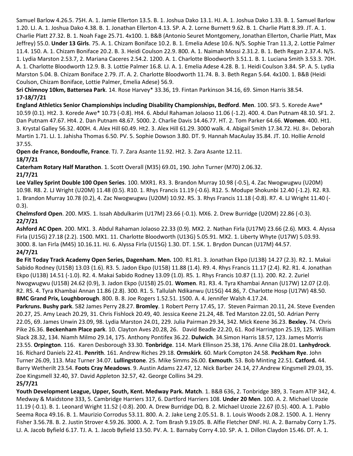Samuel Barlow 4.26.5. 75H. A. 1. Jamie Ellerton 13.5. B. 1. Joshua Dako 13.1. HJ. A. 1. Joshua Dako 1.33. B. 1. Samuel Barlow 1.20. LJ. A. 1. Joshua Dako 4.38. B. 1. Jonathan Ellerton 4.13. SP. A. 2. Lorne Burnett 9.62. B. 1. Charlie Platt 8.39. JT. A. 1. Charlie Platt 27.32. B. 1. Noah Fage 25.71. 4x100. 1. B&B (Antonio Seuret Montgomery, Jonathan Ellerton, Charlie Platt, Max Jeffrey) 55.0. **Under 13 Girls**. 75. A. 1. Chizam Boniface 10.2. B. 1. Emelia Adese 10.6. N/S. Sophie Tran 11.3, 2. Lottie Palmer 11.4. 150. A. 1. Chizam Boniface 20.2. B. 3. Heidi Coulson 22.9. 800. A. 1. Naimah Mossi 2.31.2. B. 1. Beth Regan 2.37.4. N/S. 1. Lydia Marston 2.53.7, 2. Mariana Caceres 2.54.2. 1200. A. 1. Charlotte Bloodworth 3.51.1. B. 1. Luciana Smith 3.53.3. 70H. A. 1. Charlotte Bloodworth 12.9. B. 3. Lottie Palmer 16.8. LJ. A. 1. Emelia Adese 4.28. B. 1. Heidi Coulson 3.84. SP. A. 5. Lydia Marston 5.04. B. Chizam Boniface 2.79. JT. A. 2. Charlotte Bloodworth 11.74. B. 3. Beth Regan 5.64. 4x100. 1. B&B (Heidi Coulson, Chizam Boniface, Lottie Palmer, Emelia Adese) 56.9.

**Sri Chimnoy 10km, Battersea Park**. 14. Rose Harvey\* 33.36, 19. Fintan Parkinson 34.16, 69. Simon Harris 38.54. **17-18/7/21**

**England Athletics Senior Championships including Disability Championships, Bedford**. **Men**. 100. SF3. 5. Korede Awe\* 10.59 (0.1). Ht2. 3. Korede Awe\* 10.73 (-0.8). Ht4. 6. Abdul Rahaman Jolaoso 11.06 (-1.2). 400. 4. Dan Putnam 48.10. SF1. 2. Dan Putnam 47.67. Ht4. 2. Dan Putnam 48.67. 5000. 2. Charlie Davis 14.46.77. HT. 2. Tom Parker 64.66. **Women**. 400. Ht1. 3. Krystal Galley 56.32. 400H. 4. Alex Hill 60.49. Ht2. 3. Alex Hill 61.29. 3000 walk. 4. Abigail Smith 17.34.72. HJ. 8=. Deborah Martin 1.71. LJ. 1. Jahisha Thomas 6.50. PV. 5. Sophie Dowson 3.80. DT. 9. Hannah MacAulay 35.84. JT. 10. Hollie Arnold 37.55.

**Open de France, Bondoufle, France**. TJ. 7. Zara Asante 11.92. Ht2. 3. Zara Asante 12.11. **18/7/21**

**Caterham Rotary Half Marathon**. 1. Scott Overall (M35) 69.01, 190. John Turner (M70) 2.06.32.

**21/7/21**

**Lee Valley Sprint Double 100 Open Series**. 100. MXR1. R3. 3. Brandon Murray 10.98 (-0.5), 4. Zac Nwogwugwu (U20M) 10.98. R8. 2. LJ Wright (U20M) 11.48 (0.5). R10. 1. Rhys Francis 11.19 (-0.6). R12. 5. Modupe Shokunbi 12.40 (-1.2). R2. R3. 1. Brandon Murray 10.78 (0.2), 4. Zac Nwogwugwu (U20M) 10.92. R5. 3. Rhys Francis 11.18 (-0.8). R7. 4. LJ Wright 11.40 (- 0.3).

**Chelmsford Open**. 200. MX5. 1. Issah Abdulkarim (U17M) 23.66 (-0.1). MX6. 2. Drew Burridge (U20M) 22.86 (-0.3). **22/7/21**

**Ashford AC Open**. 200. MX1. 3. Abdul Rahaman Jolaoso 22.33 (0.9). MX2. 2. Nathan Firla (U17M) 23.66 (2.6). MX3. 4. Alyssa Firla (U15G) 27.18 (2.2). 1500. MX1. 11. Charlotte Bloodworth (U13G) 5.05.91. MX2. 1. Liberty Whyte (U17W) 5.03.93. 3000. 8. Ian Firla (M45) 10.16.11. HJ. 6. Alyssa Firla (U15G) 1.30. DT. 1.5K. 1. Brydon Duncan (U17M) 44.57. **24/7/21**

**Be Fit Today Track Academy Open Series, Dagenham. Men.** 100. R1.R1. 3. Jonathan Ekpo (U13B) 14.27 (2.3). R2. 1. Makai Sabido Rodney (U15B) 13.03 (1.6). R3. 5. Jadon Ekpo (U15B) 11.88 (1.4). R9. 4. Rhys Francis 11.17 (2.4). R2. R1. 4. Jonathan Ekpo (U13B) 14.51 (-1.0). R2. 4. Makai Sabido Rodney 13.09 (1.0). R5. 1. Rhys Francis 10.87 (1.1). 200. R2. 2. Zuriel Nwogwugwu (U15B) 24.62 (0.9), 3. Jadon Ekpo (U15B) 25.01. **Women**. R1. R3. 4. Tyra Khambai Annan (U17W) 12.07 (2.0). R2. R5. 4. Tyra Khambai Annan 11.86 (2.8). 300. R1. 5. Tallulah Ndikanwu (U15G) 44.86, 7. Charlotte Hosp (U17W) 48.50. **BMC Grand Prix, Loughborough**. 800. B. 8. Joe Rogers 1.52.51. 1500. A. 4. Jennifer Walsh 4.17.24.

**Parkruns. Bushy park**. 582 James Perry 28.27. **Bromley**. 1 Robert Perry 17.45, 17. Steven Pairman 20.11, 24. Steve Evenden 20.27, 25. Amy Leach 20.29, 31. Chris Fishlock 20.49, 40. Jessica Keene 21.24, 48. Ted Marston 22.01, 50. Adrian Perry 22.05, 69. James Unwin 23.09, 98. Lydia Marston 24.01, 229. Julia Pairman 29.34, 342. Mick Keene 36.23. **Bexley.** 74. Chris Pike 26.36. **Beckenham Place park**. 10. Clayton Aves 20.28, 26. David Beadle 22.20, 61. Rod Harrington 25.19, 125. William Slack 28.32, 134. Niamh Milmo 29.14, 175. Anthony Pontifex 36.22. **Dulwich**. 34.Simon Harris 18.57, 123. James Morris 23.55. **Orpington**. 116. Karen Desborough 33.30. **Tonbridge**. 114. Mark Ellinson 25.38, 176. Anne Cilia 28.01. **Lanhydrock**. 16. Richard Daniels 22.41. **Penrith**. 161. Andrew Riches 29.18. **Ormskirk**. 60. Mark Compton 24.58. **Peckham Rye**. John Turner 26.09, 113. Maz Turner 34.07. **Lullingstone**. 25. Mike Simms 26.00. **Exmouth**. 53. Bob Minting 22.51. **Catford.** 44. Barry Wetherilt 23.54. **Foots Cray Meadows**. 9. Austin Adams 22.47, 12. Nick Barber 24.14, 27.Andrew Kingsmell 29.03, 35. Zoe Kingsmell 32.40, 37. David Appleton 32.57, 42. George Collins 34.29.

**25/7/21**

**Youth Development League, Upper, South, Kent. Medway Park. Match**. 1. B&B 636, 2. Tonbridge 389, 3. Team ATIP 342, 4. Medway & Maidstone 333, 5. Cambridge Harriers 317, 6. Dartford Harriers 108. **Under 20 Men**. 100. A. 2. Michael Uzozie 11.19 (-0.1). B. 1. Leonard Wright 11.52 (-0.8). 200. A. Drew Burridge DQ. B. 2. Michael Uzozie 22.67 (0.5). 400. A. 1. Pablo Seema Roca 49.16. B. 1. Maurizio Corrodus 53.11. 800. A. 2. Jake Leng 2.05.51. B. 1. Louis Woods 2.08.2. 1500. A. 1. Henry Fisher 3.56.78. B. 2. Justin Strover 4.59.26. 3000. A. 2. Tom Brash 9.19.05. B. Alfie Fletcher DNF. HJ. A. 2. Barnaby Corry 1.75. LJ. A. Jacob Byfield 6.17. TJ. A. 1. Jacob Byfield 13.50. PV. A. 1. Barnaby Corry 4.10. SP. A. 1. Dillon Claydon 15.46. DT. A. 1.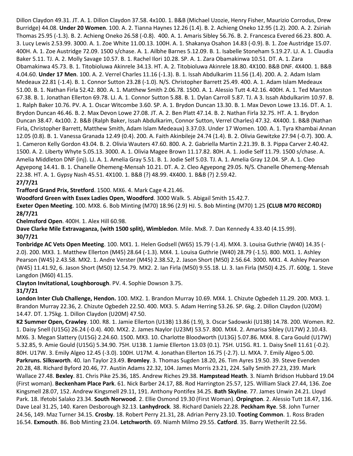Dillon Claydon 49.31. JT. A. 1. Dillon Claydon 37.58. 4x100. 1. B&B (Michael Uzozie, Henry Fisher, Maurizio Corrodus, Drew Burridge) 44.08. **Under 20 Women**. 100. A. 2. Tianna Haynes 12.26 (1.4). B. 2. Achieng Oneko 12.95 (1.2). 200. A. 2. Zsiriah Thomas 25.95 (-1.3). B. 2. Achieng Oneko 26.58 (-0.8). 400. A. 1. Amaris Sibley 56.76. B. 2. Francesca Evered 66.23. 800. A. 3. Lucy Lewis 2.53.99. 3000. A. 1. Zoe White 11.00.13. 100H. A. 1. Shakanya Osahon 14.83 (-0.9). B. 1. Zoe Austridge 15.07. 400H. A. 1. Zoe Austridge 72.09. 1500 s/chase. A. 1. Ailbhe Barnes 5.12.09. B. 1. Isabelle Stoneham 5.19.27. LJ. A. 1. Claudia Baker 5.11. TJ. A. 2. Molly Savage 10.57. B. 1. Rachel Ilori 10.28. SP. A. 1. Zara Obamakinwa 10.51. DT. A. 1. Zara Obamakinwa 45.73. B. 1. Titobioluwa Akinrele 34.13. HT. A. 2. Titobioluwa Akinrele 18.80. 4X100. B&B DNF. 4X400. 1. B&B 4.04.60. **Under 17 Men**. 100. A. 2. Verrel Charles 11.16 (-1.3). B. 1. Issah Abdulkarim 11.56 (1.4). 200. A. 2. Adam Islam Medeaux 22.81 (-1.4). B. 1. Connor Sutton 23.28 (-1.0). N/S. Christopher Barrett 25.49. 400. A. 1. Adam Islam Medeaux 51.00. B. 1. Nathan Firla 52.42. 800. A. 1. Matthew Smith 2.06.78. 1500. A. 1. Alessio Tutt 4.42.16. 400H. A. 1. Ted Marston 67.38. B. 1. Jonathan Ellerton 69.78. LJ. A. 1. Connor Sutton 5.88. B. 1. Dylan Carroll 5.87. TJ. A 3. Issah Abdulkarim 10.97. B. 1. Ralph Baker 10.76. PV. A. 1. Oscar Witcombe 3.60. SP. A. 1. Brydon Duncan 13.30. B. 1. Max Devon Lowe 13.16. DT. A. 1. Brydon Duncan 46.46. B. 2. Max Devon Lowe 27.08. JT. A. 2. Ben Platt 47.14. B. 2. Nathan Firla 32.75. HT. A. 1. Brydon Duncan 38.47. 4x100. 2. B&B (Ralph Baker, Issah Abdulkarim, Connor Sutton, Verrel Charles) 47.32. 4X400. 1. B&B (Nathan Firla, Christopher Barrett, Matthew Smith, Adam Islam Medeaux) 3.37.03. Under 17 Women. 100. A. 1. Tyra Khambai Annan 12.05 (0.8). B. 1. Vanessa Granada 12.49 (0.4). 200. A. Faith Akinbileje 24.74 (1.4). B. 2. Olivia Gewitzke 27.94 (-0.7). 300. A. 1. Cameron Kelly Gordon 43.04. B. 2. Olivia Wauters 47.60. 800. A. 2. Gabriella Martin 2.21.39. B. 3. Pippa Carver 2.40.42. 1500. A. 2. Liberty Whyte 5.05.13. 3000. A. 1. Olivia Magee Brown 11.17.82. 80H. A. 1. Jodie Self 11.79. 1500 s/chase. A. Amelia Middleton DNF (inj). LJ. A. 1. Amelia Gray 5.51. B. 1. Jodie Self 5.03. TJ. A. 1. Amelia Gray 12.04. SP. A. 1. Cleo Agyepong 14.41. B. 1. Chanelle Ohemeng-Mensah 10.21. DT. A. 2. Cleo Agyepong 29.05. N/S. Chanelle Ohemeng-Mensah 22.38. HT. A. 1. Gypsy Nash 45.51. 4X100. 1. B&B (?) 48.99. 4X400. 1. B&B (?) 2.59.42. **27/7/21**

**Trafford Grand Prix, Stretford**. 1500. MX6. 4. Mark Cage 4.21.46.

**Woodford Green with Essex Ladies Open, Woodford**. 3000 Walk. 5. Abigail Smith 15.42.7.

**Exeter Open Meeting**. 100. MX8. 6. Bob Minting (M70) 18.96 (2.9) HJ. 5. Bob Minting (M70) 1.25 **(CLUB M70 RECORD) 28/7/21**

**Chelmsford Open**. 400H. 1. Alex Hill 60.98.

**Dave Clarke Mile Extravaganza, (with 1500 split), Wimbledon**. Mile. Mx8. 7. Dan Kennedy 4.33.40 (4.15.99). **30/7/21**

**Tonbridge AC Vets Open Meeting**. 100. MX1. 1. Helen Godsell (W65) 15.79 (-1.4). MX4. 3. Louisa Guthrie (W40) 14.35 (- 2.0). 200. MX3. 1. Matthew Ellerton (M45) 28.64 (-1.3). MX4. 1. Louisa Guthrie (W40) 28.79 (-1.5). 800. MX1. 1. Ashley Pearson (W45) 2.43.58. MX2. 1. Andre Verster (M45) 2.38.52, 2. Jason Short (M50) 2.56.64. 3000. MX1. 4. Ashley Pearson (W45) 11.41.92, 6. Jason Short (M50) 12.54.79. MX2. 2. Ian Firla (M50) 9.55.18. LJ. 3. Ian Firla (M50) 4.25. JT. 600g. 1. Steve Langdon (M60) 41.15.

**Clayton Invitational, Loughborough**. PV. 4. Sophie Dowson 3.75.

### **31/7/21**

**London Inter Club Challenge, Hendon.** 100. MX2. 1. Brandon Murray 10.69. MX4. 1. Chizute Ogbedeh 11.29. 200. MX3. 1. Brandon Murray 22.36, 2. Chizute Ogbedeh 22.50. 400. MX3. 5. Adam Herring 53.26. SP. 6kg. 2. Dillon Claydon (U20M) 14.47. DT. 1.75kg. 1. Dillon Claydon (U20M) 47.50.

**K2 Summer Open, Crawley**. 100. R8. 1. Jamie Ellerton (U13B) 13.86 (1.9), 3. Oscar Sadowski (U13B) 14.78. 200. Women. R2. 1. Daisy Snell (U15G) 26.24 (-0.4). 400. MX2. 2. James Naylor (U23M) 53.57. 800. MX4. 2. Amarisa Sibley (U17W) 2.10.43. MX6. 3. Megan Slattery (U15G) 2.24.60. 1500. MX3. 10. Charlotte Bloodworth (U13G) 5.07.86. MX4. 8. Cara Gould (U17W) 5.32.85, 9. Amie Gould (U15G) 5.34.90. 75H. U13B. 1 Jamie Ellerton 13.03 (0.1). 75H. U15G. R1. 1. Daisy Snell 11.61 (-0.2). 80H. U17W. 3. Emily Algeo 12.45 (-3.0). 100H. U17M. 4. Jonathan Ellerton 16.75 (-2.7). LJ. MXA. 7. Emily Algeo 5.00. **Parkruns. Silksworth**. 40. Ian Taylor 23.49. **Bromley**. 3. Thomas Sugden 18.20, 26. Tim Ayres 19.50. 39. Steve Evenden 20.28, 48. Richard Byford 20.46, 77. Austin Adams 22.32, 104. James Morris 23.21, 224. Sally Smith 27.23, 239. Mark Wallace 27.48. **Bexley**. 81. Chris Pike 25.36, 185. Andrew Riches 29.38. **Hampstead Heath**. 3. Niamh Bridson Hubbard 19.04 (First woman). **Beckenham Place Park**. 61. Nick Barber 24.17, 88. Rod Harrington 25.57, 125. William Slack 27.44, 136. Zoe Kingsmell 28.07, 152. Andrew Kingsmell 29.11, 191. Anthony Pontifex 34.25. **Bath Skyline**. 77. James Unwin 24.21. Lloyd Park. 18. Ifetobi Salako 23.34. **South Norwood**. 2. Ellie Osmond 19.30 (First Woman). **Orpington**. 2. Alessio Tutt 18.47, 136. Dave Leal 31.25, 140. Karen Desborough 32.13. **Lanhydrock**. 38. Richard Daniels 22.28. **Peckham Rye**. 58. John Turner 24.56, 149. Maz Turner 34.15. **Crosby**. 18. Robert Perry 21.31, 28. Adrian Perry 23.10. **Tooting Common**. 1. Ross Braden 16.54. **Exmouth**. 86. Bob Minting 23.04. **Letchworth**. 69. Niamh Milmo 29.55. **Catford**. 35. Barry Wetherilt 22.56.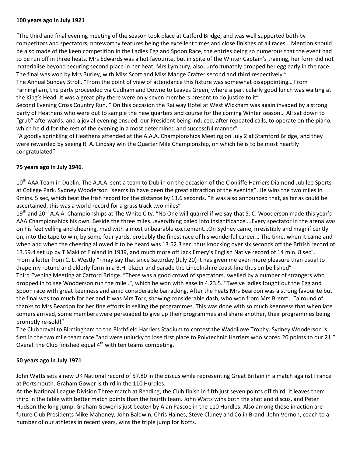#### **100 years ago in July 1921**

"The third and final evening meeting of the season took place at Catford Bridge, and was well supported both by competitors and spectators, noteworthy features being the excellent times and close finishes of all races… Mention should be also made of the keen competition in the Ladies Egg and Spoon Race, the entries being so numerous that the event had to be run off in three heats. Mrs Edwards was a hot favourite, but in spite of the Winter Captain's training, her form did not materialise beyond securing second place in her heat. Mrs Lymbury, also, unfortunately dropped her egg early in the race. The final was won by Mrs Burley, with Miss Scott and Miss Madge Crafter second and third respectively."

The Annual Sunday Stroll. "From the point of view of attendance this fixture was somewhat disappointing… From Farningham, the party proceeded via Cudham and Downe to Leaves Green, where a particularly good lunch was waiting at the King's Head. It was a great pity there were only seven members present to do justice to it"

Second Evening Cross Country Run. " On this occasion the Railway Hotel at West Wickham was again invaded by a strong party of Heathens who were out to sample the new quarters and course for the coming Winter season… All sat down to "grub" afterwards, and a jovial evening ensued, our President being induced, after repeated calls, to operate on the piano, which he did for the rest of the evening in a most determined and successful manner"

"A goodly sprinkling of Heathens attended at the A.A.A. Championships Meeting on July 2 at Stamford Bridge, and they were rewarded by seeing R. A. Lindsay win the Quarter Mile Championship, on which he is to be most heartily congratulated"

#### **75 years ago in July 1946**.

10<sup>th</sup> AAA Team in Dublin. The A.A.A. sent a team to Dublin on the occasion of the Clonliffe Harriers Diamond Jubilee Sports at College Park. Sydney Wooderson "seems to have been the great attraction of the evening". He wins the two miles in 9mins. 5 sec, which beat the Irish record for the distance by 13.6 seconds. "It was also announced that, as far as could be ascertained, this was a world record for a grass track two miles"

 $19<sup>th</sup>$  and 20<sup>th</sup> A.A.A. Championships at The White City. "No One will quarrel if we say that S. C. Wooderson made this year's AAA Championships his own. Beside the three miles…everything paled into insignificance….Every spectator in the arena was on his feet yelling and cheering, mad with almost unbearable excitement…On Sydney came, irresistibly and magnificently on, into the tape to win, by some four yards, probably the finest race of his wonderful career… The time, when it came and when and when the cheering allowed it to be heard was 13.52.3 sec, thus knocking over six seconds off the British record of 13.59.4 set up by T Maki of Finland in 1939, and much more off Jack Emery's English Native record of 14 min. 8 sec". From a letter from C. L. Westly "I may say that since Saturday (July 20) it has given me even more pleasure than usual to drape my rotund and elderly form in a B.H. blazer and parade the Lincolnshire coast-line thus embellished" Third Evening Meeting at Catford Bridge. "There was a good crowd of spectators, swelled by a number of strangers who dropped in to see Wooderson run the mile..", which he won with ease in 4.23.5. "Twelve ladies fought out the Egg and Spoon race with great keenness and amid considerable barracking. After the heats Mrs Beardon was a strong favourite but the final was too much for her and it was Mrs Torr, showing considerable dash, who won from Mrs Brent"..."a round of thanks to Mrs Beardon for her fine efforts in selling the programmes. This was done with so much keenness that when late comers arrived, some members were persuaded to give up their programmes and share another, their programmes being promptly re-sold!"

The Club travel to Birmingham to the Birchfield Harriers Stadium to contest the Waddilove Trophy. Sydney Wooderson is first in the two mile team race "and were unlucky to lose first place to Polytechnic Harriers who scored 20 points to our 21." Overall the Club finished equal  $4<sup>th</sup>$  with ten teams competing.

#### **50 years ago in July 1971**

John Watts sets a new UK National record of 57.80 in the discus while representing Great Britain in a match against France at Portsmouth. Graham Gower is third in the 110 Hurdles.

At the National League Division Three match at Reading, the Club finish in fifth just seven points off third. It leaves them third in the table with better match points than the fourth team. John Watts wins both the shot and discus, and Peter Hudson the long jump. Graham Gower is just beaten by Alan Pascoe in the 110 Hurdles. Also among those in action are future Club Presidents Mike Mahoney, John Baldwin, Chris Haines, Steve Cluney and Colin Brand. John Vernon, coach to a number of our athletes in recent years, wins the triple jump for Notts.